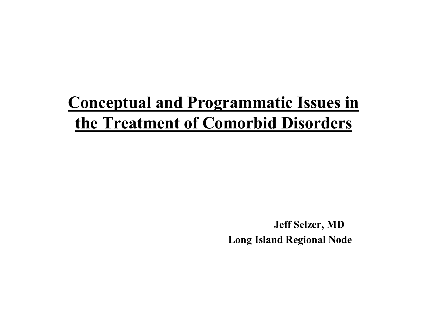#### **Conceptual and Programmatic Issues in** the Treatment of Comorbid Disorders

**Jeff Selzer, MD Long Island Regional Node**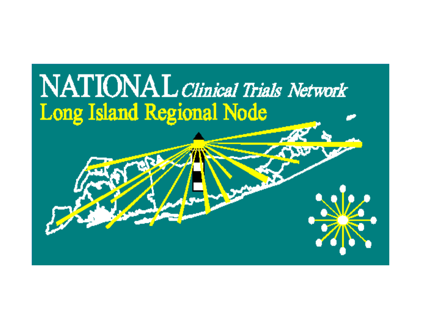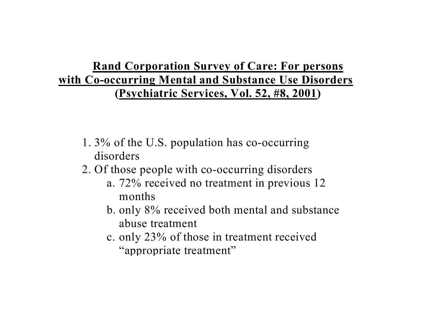#### **Rand Corporation Survey of Care: For persons with Co-occurring Mental and Substance Use Disorders (Psychiatric Services, Vol. 52, #8, 2001)**

- 1. 3% of the U.S. population has co-occurring disorders
- 2. Of those people with co-occurring disorders
	- a. 72% received no treatment in previous 12 months
	- b. only 8% received both mental and substance abuse treatment
	- c. only 23% of those in treatment received "appropriate treatment"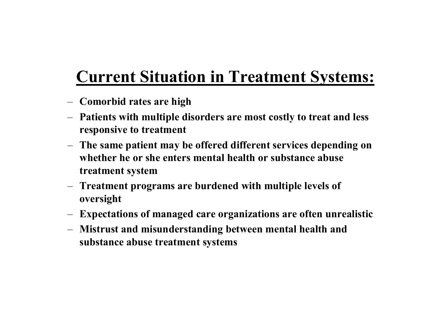### **Current Situation in Treatment Systems:**

- **Comorbid rates are high**
- **Patients with multiple disorders are most costly to treat and less responsive to treatment**
- **The same patient may be offered different services depending on whether he or she enters mental health or substance abuse treatment system**
- **Treatment programs are burdened with multiple levels of oversight**
- **Expectations of managed care organizations are often unrealistic**
- **Mistrust and misunderstanding between mental health and substance abuse treatment systems**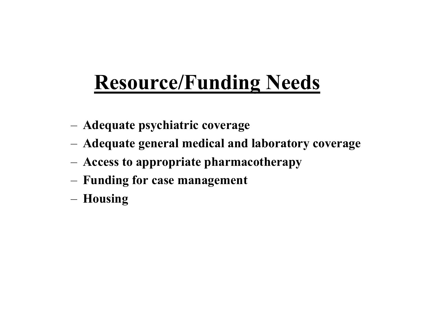# **Resource/Funding Needs**

- –**Adequate psychiatric coverage**
- –**Adequate general medical and lab oratory coverage**
- –**Access to appropriate pharmacotherapy**
- –**Funding for case management**
- –**Housing**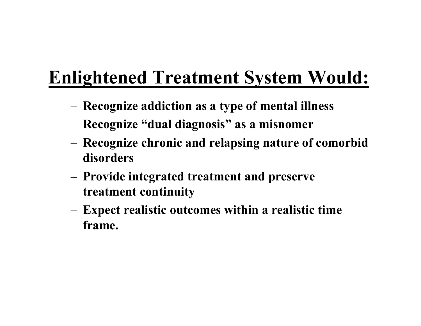## **Enlightened Treatment System Would:**

- –**Recognize addiction as a type of mental illness**
- –**Recognize "dual diagnosis" as a misnomer**
- – **Recognize chronic and relapsing nature of comorbid disorders**
- – **Provide integrated treatment and preserve treatment continuity**
- **Expect realistic outco mes w ithin a realistic time frame.**